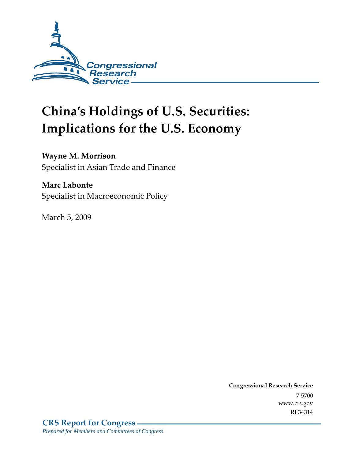

# **China's Holdings of U.S. Securities:** Implications for the U.S. Economy

#### **Wayne M. Morrison**

Specialist in Asian Trade and Finance

#### **Marc Labonte**

Specialist in Macroeconomic Policy

March 5, 2009

Conglessional Research Service  $7 - 2700$ www.crs.gov RL34314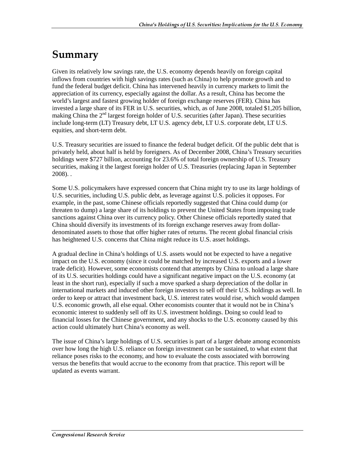### Summary

Given its relatively low savings rate, the U.S. economy depends heavily on foreign capital inflows from countries with high savings rates (such as China) to help promote growth and to fund the federal budget deficit. China has intervened heavily in currency markets to limit the appreciation of its currency, especially against the dollar. As a result, China has become the world's largest and fastest growing holder of foreign exchange reserves (FER). China has invested a large share of its FER in U.S. securities, which, as of June 2008, totaled \$1,205 billion, making China the  $2<sup>nd</sup>$  largest foreign holder of U.S. securities (after Japan). These securities include long-term (LT) Treasury debt, LT U.S. agency debt, LT U.S. corporate debt, LT U.S. equities, and short-term debt.

U.S. Treasury securities are issued to finance the federal budget deficit. Of the public debt that is privately held, about half is held by foreigners. As of December 2008, China's Treasury securities holdings were \$727 billion, accounting for 23.6% of total foreign ownership of U.S. Treasury securities, making it the largest foreign holder of U.S. Treasuries (replacing Japan in September 2008). .

Some U.S. policymakers have expressed concern that China might try to use its large holdings of U.S. securities, including U.S. public debt, as leverage against U.S. policies it opposes. For example, in the past, some Chinese officials reportedly suggested that China could dump (or threaten to dump) a large share of its holdings to prevent the United States from imposing trade sanctions against China over its currency policy. Other Chinese officials reportedly stated that China should diversify its investments of its foreign exchange reserves away from dollardenominated assets to those that offer higher rates of returns. The recent global financial crisis has heightened U.S. concerns that China might reduce its U.S. asset holdings.

A gradual decline in China's holdings of U.S. assets would not be expected to have a negative impact on the U.S. economy (since it could be matched by increased U.S. exports and a lower trade deficit). However, some economists contend that attempts by China to unload a large share of its U.S. securities holdings could have a significant negative impact on the U.S. economy (at least in the short run), especially if such a move sparked a sharp depreciation of the dollar in international markets and induced other foreign investors to sell off their U.S. holdings as well. In order to keep or attract that investment back, U.S. interest rates would rise, which would dampen U.S. economic growth, all else equal. Other economists counter that it would not be in China's economic interest to suddenly sell off its U.S. investment holdings. Doing so could lead to financial losses for the Chinese government, and any shocks to the U.S. economy caused by this action could ultimately hurt China's economy as well.

The issue of China's large holdings of U.S. securities is part of a larger debate among economists over how long the high U.S. reliance on foreign investment can be sustained, to what extent that reliance poses risks to the economy, and how to evaluate the costs associated with borrowing versus the benefits that would accrue to the economy from that practice. This report will be updated as events warrant.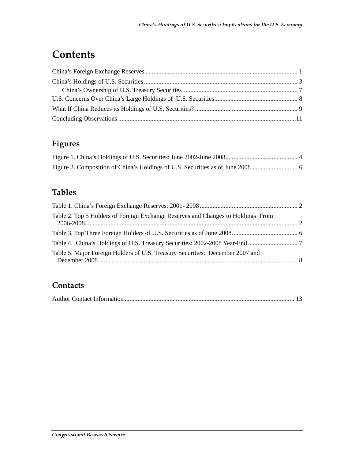### **Contents**

### **Figures**

#### **Tables**

| Table 2. Top 5 Holders of Foreign Exchange Reserves and Changes to Holdings From |  |
|----------------------------------------------------------------------------------|--|
|                                                                                  |  |
|                                                                                  |  |
| Table 5. Major Foreign Holders of U.S. Treasury Securities: December 2007 and    |  |

#### **Contacts**

|--|--|--|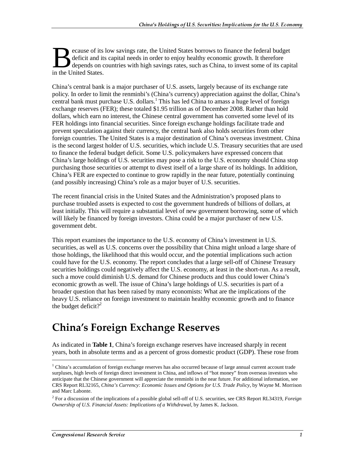ecause of its low savings rate, the United States borrows to finance the federal budget deficit and its capital needs in order to enjoy healthy economic growth. It therefore depends on countries with high savings rates, such as China, to invest some of its capital **B** deficit and its<br>depends on c<br>in the United States.

China's central bank is a major purchaser of U.S. assets, largely because of its exchange rate policy. In order to limit the renminbi's (China's currency) appreciation against the dollar, China's central bank must purchase U.S. dollars.<sup>1</sup> This has led China to amass a huge level of foreign exchange reserves (FER); these totaled \$1.95 trillion as of December 2008. Rather than hold dollars, which earn no interest, the Chinese central government has converted some level of its FER holdings into financial securities. Since foreign exchange holdings facilitate trade and prevent speculation against their currency, the central bank also holds securities from other foreign countries. The United States is a major destination of China's overseas investment. China is the second largest holder of U.S. securities, which include U.S. Treasury securities that are used to finance the federal budget deficit. Some U.S. policymakers have expressed concern that China's large holdings of U.S. securities may pose a risk to the U.S. economy should China stop purchasing those securities or attempt to divest itself of a large share of its holdings. In addition, China's FER are expected to continue to grow rapidly in the near future, potentially continuing (and possibly increasing) China's role as a major buyer of U.S. securities.

The recent financial crisis in the United States and the Administration's proposed plans to purchase troubled assets is expected to cost the government hundreds of billions of dollars, at least initially. This will require a substantial level of new government borrowing, some of which will likely be financed by foreign investors. China could be a major purchaser of new U.S. government debt.

This report examines the importance to the U.S. economy of China's investment in U.S. securities, as well as U.S. concerns over the possibility that China might unload a large share of those holdings, the likelihood that this would occur, and the potential implications such action could have for the U.S. economy. The report concludes that a large sell-off of Chinese Treasury securities holdings could negatively affect the U.S. economy, at least in the short-run. As a result, such a move could diminish U.S. demand for Chinese products and thus could lower China's economic growth as well. The issue of China's large holdings of U.S. securities is part of a broader question that has been raised by many economists: What are the implications of the heavy U.S. reliance on foreign investment to maintain healthy economic growth and to finance the budget deficit?<sup>2</sup>

### China's Foreign Exchange Reserves

As indicated in **Table 1**, China's foreign exchange reserves have increased sharply in recent years, both in absolute terms and as a percent of gross domestic product (GDP). These rose from

<sup>&</sup>lt;sup>1</sup> China's accumulation of foreign exchange reserves has also occurred because of large annual current account trade surpluses, high levels of foreign direct investment in China, and inflows of "hot money" from overseas investors who anticipate that the Chinese government will appreciate the renminbi in the near future. For additional information, see CRS Report RL32165, *China's Currency: Economic Issues and Options for U.S. Trade Policy*, by Wayne M. Morrison and Marc Labonte.

<sup>2</sup> For a discussion of the implications of a possible global sell-off of U.S. securities, see CRS Report RL34319, *Foreign Ownership of U.S. Financial Assets: Implications of a Withdrawal*, by James K. Jackson.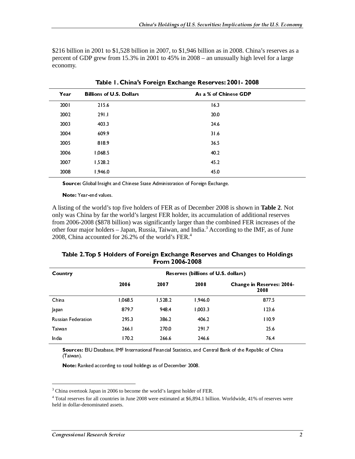\$216 billion in 2001 to \$1,528 billion in 2007, to \$1,946 billion as in 2008. China's reserves as a percent of GDP grew from 15.3% in 2001 to 45% in 2008 – an unusually high level for a large economy.

|                                                                           | <b>Billions of U.S. Dollars</b>                                              |                |                                     | As a % of Chinese GDP                                                                                      |
|---------------------------------------------------------------------------|------------------------------------------------------------------------------|----------------|-------------------------------------|------------------------------------------------------------------------------------------------------------|
| 2001                                                                      | 215.6                                                                        |                | 16.3                                |                                                                                                            |
| 2002                                                                      | 291.1                                                                        |                | 20.0                                |                                                                                                            |
| 2003                                                                      | 403.3                                                                        |                | 24.6                                |                                                                                                            |
| 2004                                                                      | 609.9                                                                        |                | 31.6                                |                                                                                                            |
| 2005                                                                      | 818.9                                                                        |                | 36.5                                |                                                                                                            |
| 2006                                                                      | 1,068.5                                                                      |                | 40.2                                |                                                                                                            |
| 2007                                                                      | 1,528.2                                                                      |                | 45.2                                |                                                                                                            |
| 2008                                                                      | 1,946.0                                                                      |                | 45.0                                |                                                                                                            |
|                                                                           | Source: Global Insight and Chinese State Administration of Foreign Exchange. |                |                                     |                                                                                                            |
|                                                                           | <b>Note:</b> Year-end values.                                                |                |                                     |                                                                                                            |
|                                                                           | 2008, China accounted for 26.2% of the world's FER. <sup>4</sup>             |                |                                     | other four major holders – Japan, Russia, Taiwan, and India. <sup>3</sup> According to the IMF, as of June |
|                                                                           |                                                                              | From 2006-2008 |                                     | Table 2. Top 5 Holders of Foreign Exchange Reserves and Changes to Holdings                                |
|                                                                           |                                                                              |                | Reserves (billions of U.S. dollars) |                                                                                                            |
|                                                                           | 2006                                                                         | 2007           | 2008                                | Change in Reserves: 2006-<br>2008                                                                          |
|                                                                           | 1.068.5                                                                      | 1,528.2        | 1,946.0                             | 877.5                                                                                                      |
|                                                                           | 879.7                                                                        | 948.4          | 1,003.3                             | 123.6                                                                                                      |
|                                                                           | 295.3                                                                        | 386.2          | 406.2                               | 110.9                                                                                                      |
|                                                                           | 266.1                                                                        | 270.0          | 291.7                               | 25.6                                                                                                       |
| Country<br>China<br>Japan<br><b>Russian Federation</b><br>Taiwan<br>India | 170.2                                                                        | 266.6          | 246.6                               | 76.4                                                                                                       |

Table 1. China's Foreign Exchange Reserves: 2001- 2008

| Table 2. Top 5 Holders of Foreign Exchange Reserves and Changes to Holdings |
|-----------------------------------------------------------------------------|
| From 2006-2008                                                              |

| Country                                                                        | 2006                                                          | 2007           | Reserves (billions of U.S. dollars)<br>2008 | Change in Reserves: 2006-                                                                                              |
|--------------------------------------------------------------------------------|---------------------------------------------------------------|----------------|---------------------------------------------|------------------------------------------------------------------------------------------------------------------------|
| China                                                                          | 1,068.5                                                       | 1,528.2        | 1,946.0                                     | 2008<br>877.5                                                                                                          |
| Japan<br>Russian Federation                                                    | 879.7<br>295.3                                                | 948.4<br>386.2 | 1,003.3<br>406.2                            | 123.6<br>110.9                                                                                                         |
| Taiwan<br>India                                                                | 266.1<br>170.2                                                | 270.0<br>266.6 | 291.7<br>246.6                              | 25.6<br>764                                                                                                            |
| (Taiwan).                                                                      |                                                               |                |                                             | Sources: EIU Database, IMF International Financial Statistics, and Central Bank of the Republic of China               |
|                                                                                | Note: Ranked according to total holdings as of December 2008. |                |                                             |                                                                                                                        |
| $^3$ China overtook Japan in 2006 to become the world's largest holder of FER. |                                                               |                |                                             | $4$ Total reserves for all countries in June 2008 were estimated at \$6,894.1 billion. Worldwide, 41% of reserves were |
| held in dollar-denominated assets.                                             |                                                               |                |                                             |                                                                                                                        |
| <b>Congressional Research Service</b>                                          |                                                               |                |                                             | $\overline{2}$                                                                                                         |
|                                                                                |                                                               |                |                                             |                                                                                                                        |
|                                                                                |                                                               |                |                                             |                                                                                                                        |
|                                                                                |                                                               |                |                                             |                                                                                                                        |
|                                                                                |                                                               |                |                                             |                                                                                                                        |
|                                                                                |                                                               |                |                                             |                                                                                                                        |
|                                                                                |                                                               |                |                                             |                                                                                                                        |
|                                                                                |                                                               |                |                                             |                                                                                                                        |
|                                                                                |                                                               |                |                                             |                                                                                                                        |
|                                                                                |                                                               |                |                                             |                                                                                                                        |
|                                                                                |                                                               |                |                                             |                                                                                                                        |
|                                                                                |                                                               |                |                                             |                                                                                                                        |
|                                                                                |                                                               |                |                                             |                                                                                                                        |
|                                                                                |                                                               |                |                                             |                                                                                                                        |
|                                                                                |                                                               |                |                                             |                                                                                                                        |
|                                                                                |                                                               |                |                                             |                                                                                                                        |
|                                                                                |                                                               |                |                                             |                                                                                                                        |
|                                                                                |                                                               |                |                                             |                                                                                                                        |
|                                                                                |                                                               |                |                                             |                                                                                                                        |
|                                                                                |                                                               |                |                                             |                                                                                                                        |
|                                                                                |                                                               |                |                                             |                                                                                                                        |
|                                                                                |                                                               |                |                                             |                                                                                                                        |
|                                                                                |                                                               |                |                                             |                                                                                                                        |
|                                                                                |                                                               |                |                                             |                                                                                                                        |
|                                                                                |                                                               |                |                                             |                                                                                                                        |
|                                                                                |                                                               |                |                                             |                                                                                                                        |
|                                                                                |                                                               |                |                                             |                                                                                                                        |
|                                                                                |                                                               |                |                                             |                                                                                                                        |
|                                                                                |                                                               |                |                                             |                                                                                                                        |
|                                                                                |                                                               |                |                                             |                                                                                                                        |
|                                                                                |                                                               |                |                                             |                                                                                                                        |
|                                                                                |                                                               |                |                                             |                                                                                                                        |
|                                                                                |                                                               |                |                                             |                                                                                                                        |
|                                                                                |                                                               |                |                                             |                                                                                                                        |
|                                                                                |                                                               |                |                                             |                                                                                                                        |
|                                                                                |                                                               |                |                                             |                                                                                                                        |
|                                                                                |                                                               |                |                                             |                                                                                                                        |
|                                                                                |                                                               |                |                                             |                                                                                                                        |
|                                                                                |                                                               |                |                                             |                                                                                                                        |
|                                                                                |                                                               |                |                                             |                                                                                                                        |
|                                                                                |                                                               |                |                                             |                                                                                                                        |
|                                                                                |                                                               |                |                                             |                                                                                                                        |
|                                                                                |                                                               |                |                                             |                                                                                                                        |
|                                                                                |                                                               |                |                                             |                                                                                                                        |
|                                                                                |                                                               |                |                                             |                                                                                                                        |
|                                                                                |                                                               |                |                                             |                                                                                                                        |
|                                                                                |                                                               |                |                                             |                                                                                                                        |
|                                                                                |                                                               |                |                                             |                                                                                                                        |
|                                                                                |                                                               |                |                                             |                                                                                                                        |
|                                                                                |                                                               |                |                                             |                                                                                                                        |
|                                                                                |                                                               |                |                                             |                                                                                                                        |
|                                                                                |                                                               |                |                                             |                                                                                                                        |
|                                                                                |                                                               |                |                                             |                                                                                                                        |
|                                                                                |                                                               |                |                                             |                                                                                                                        |

<sup>&</sup>lt;sup>3</sup> China overtook Japan in 2006 to become the world's largest holder of FER.

<sup>(</sup>Taiwan).<br> **Note:** Ranked according to total holdings as of December 2008.<br> **INTER INTER INTER INTER INTERNATION**<br>
In a overtook Japan in 2006 to become the world's largest holder of FER.<br>
al reserves for all countries in Note: Ra<br>
ma overtod<br>
ma overtod<br>
al reserves<br>
ma dollar-d<br>
ma dollar-d<br>
ma dollar-d<br>
ma dollar-d<br>
ma dollar-d<br>
ma dollar-d<br>
ma dollar-d<br>
ma dollar-d<br>
ma dollar-d<br>
ma dollar-d<br>
ma dollar-d<br>
ma dollar-d<br>
ma dollar-d<br>
ma dol Note that the according to the thermal according to the Control Pattern Control in a overtook Japan in 2006 to become the world's largest holder of al reserves for all countries in June 2008 were estimated at \$6,894.<br>
Subs 4 Total reserves for all countries in June 2008 were estimated at \$6,894.1 billion. Worldwide, 41% of reserves were held in dollar-denominated assets.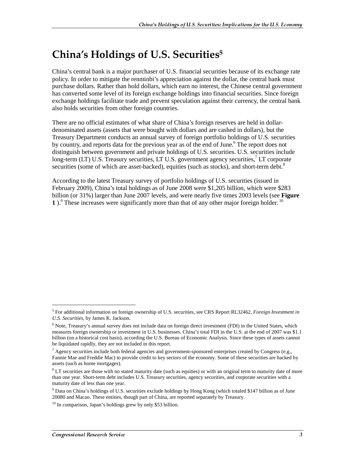### China's Holdings of U.S. Securities $^5$

China's central bank is a major purchaser of U.S. financial securities because of its exchange rate policy. In order to mitigate the renminbi's appreciation against the dollar, the central bank must purchase dollars. Rather than hold dollars, which earn no interest, the Chinese central government has converted some level of its foreign exchange holdings into financial securities. Since foreign exchange holdings facilitate trade and prevent speculation against their currency, the central bank also holds securities from other foreign countries.

There are no official estimates of what share of China's foreign reserves are held in dollardenominated assets (assets that were bought with dollars and are cashed in dollars), but the Treasury Department conducts an annual survey of foreign portfolio holdings of U.S. securities by country, and reports data for the previous year as of the end of June.<sup>6</sup> The report does not distinguish between government and private holdings of U.S. securities. U.S. securities include long-term (LT) U.S. Treasury securities, LT U.S. government agency securities,<sup>7</sup> LT corporate securities (some of which are asset-backed), equities (such as stocks), and short-term debt.<sup>8</sup>

According to the latest Treasury survey of portfolio holdings of U.S. securities (issued in February 2009), China's total holdings as of June 2008 were \$1,205 billion, which were \$283 billion (or 31%) larger than June 2007 levels, and were nearly five times 2003 levels (see **Figure 1**).<sup>9</sup> These increases were significantly more than that of any other major foreign holder.<sup>10</sup>

<sup>5</sup> For additional information on foreign ownership of U.S. securities, see CRS Report RL32462, *Foreign Investment in U.S. Securities*, by James K. Jackson.

<sup>&</sup>lt;sup>6</sup> Note, Treasury's annual survey does not include data on foreign direct investment (FDI) in the United States, which measures foreign ownership or investment in U.S. businesses. China's total FDI in the U.S. at the end of 2007 was \$1.1 billion (on a historical cost basis), according the U.S. Bureau of Economic Analysis. Since these types of assets cannot be liquidated rapidly, they are not included in this report.

 $^7$  Agency securities include both federal agencies and government-sponsored enterprises created by Congress (e.g., Fannie Mae and Freddie Mac) to provide credit to key sectors of the economy. Some of these securities are backed by assets (such as home mortgages).

 $8$  LT securities are those with no stated maturity date (such as equities) or with an original term to maturity date of more than one year. Short-term debt includes U.S. Treasury securities, agency securities, and corporate securities with a maturity date of less than one year.

<sup>&</sup>lt;sup>9</sup> Data on China's holdings of U.S. securities exclude holdings by Hong Kong (which totaled \$147 billion as of June 20080 and Macao. These entities, though part of China, are reported separately by Treasury.

 $10$  In comparison, Japan's holdings grew by only \$53 billion.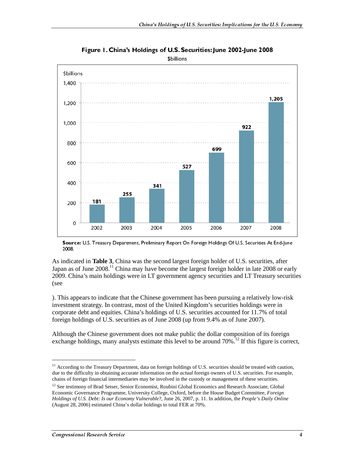

Figure 1. China's Holdings of U.S. Securities: June 2002-June 2008 \$billions

Source: U.S. Treasury Department, Preliminary Report On Foreign Holdings Of U.S. Securities At End-June 2008.

As indicated in **Table 3**, China was the second largest foreign holder of U.S. securities, after Japan as of June  $2008$ <sup>11</sup> China may have become the largest foreign holder in late  $2008$  or early 2009. China's main holdings were in LT government agency securities and LT Treasury securities (see

). This appears to indicate that the Chinese government has been pursuing a relatively low-risk investment strategy. In contrast, most of the United Kingdom's securities holdings were in corporate debt and equities. China's holdings of U.S. securities accounted for 11.7% of total foreign holdings of U.S. securities as of June 2008 (up from 9.4% as of June 2007).

Although the Chinese government does not make public the dollar composition of its foreign exchange holdings, many analysts estimate this level to be around  $70\%$ <sup>12</sup> If this figure is correct,

 $11$  According to the Treasury Department, data on foreign holdings of U.S. securities should be treated with caution, due to the difficulty in obtaining accurate information on the *actual* foreign owners of U.S. securities. For example, chains of foreign financial intermediaries may be involved in the custody or management of these securities.

<sup>&</sup>lt;sup>12</sup> See testimony of Brad Setser, Senior Economist, Roubini Global Economics and Research Associate, Global Economic Governance Programme, University College, Oxford, before the House Budget Committee, *Foreign Holdings of U.S. Debt: Is our Economy Vulnerable*?, June 26, 2007, p. 11. In addition, the *People's Daily Online* (August 28, 2006) estimated China's dollar holdings to total FER at 70%.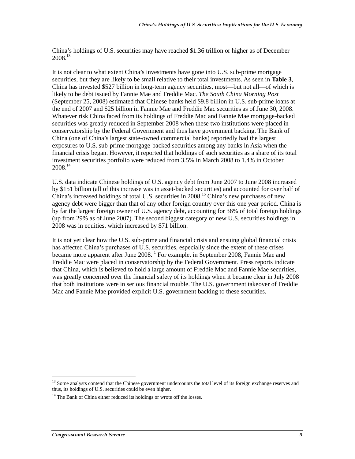China's holdings of U.S. securities may have reached \$1.36 trillion or higher as of December 2008.13

It is not clear to what extent China's investments have gone into U.S. sub-prime mortgage securities, but they are likely to be small relative to their total investments. As seen in **Table 3**, China has invested \$527 billion in long-term agency securities, most—but not all—of which is likely to be debt issued by Fannie Mae and Freddie Mac. *The South China Morning Post* (September 25, 2008) estimated that Chinese banks held \$9.8 billion in U.S. sub-prime loans at the end of 2007 and \$25 billion in Fannie Mae and Freddie Mac securities as of June 30, 2008. Whatever risk China faced from its holdings of Freddie Mac and Fannie Mae mortgage-backed securities was greatly reduced in September 2008 when these two institutions were placed in conservatorship by the Federal Government and thus have government backing. The Bank of China (one of China's largest state-owned commercial banks) reportedly had the largest exposures to U.S. sub-prime mortgage-backed securities among any banks in Asia when the financial crisis began. However, it reported that holdings of such securities as a share of its total investment securities portfolio were reduced from 3.5% in March 2008 to 1.4% in October 2008.14

U.S. data indicate Chinese holdings of U.S. agency debt from June 2007 to June 2008 increased by \$151 billion (all of this increase was in asset-backed securities) and accounted for over half of China's increased holdings of total U.S. securities in 2008.15 China's new purchases of new agency debt were bigger than that of any other foreign country over this one year period. China is by far the largest foreign owner of U.S. agency debt, accounting for 36% of total foreign holdings (up from 29% as of June 2007). The second biggest category of new U.S. securities holdings in 2008 was in equities, which increased by \$71 billion.

It is not yet clear how the U.S. sub-prime and financial crisis and ensuing global financial crisis has affected China's purchases of U.S. securities, especially since the extent of these crises became more apparent after June 2008. <sup>1</sup> For example, in September 2008, Fannie Mae and Freddie Mac were placed in conservatorship by the Federal Government. Press reports indicate that China, which is believed to hold a large amount of Freddie Mac and Fannie Mae securities, was greatly concerned over the financial safety of its holdings when it became clear in July 2008 that both institutions were in serious financial trouble. The U.S. government takeover of Freddie Mac and Fannie Mae provided explicit U.S. government backing to these securities.

 $<sup>13</sup>$  Some analysts contend that the Chinese government undercounts the total level of its foreign exchange reserves and</sup> thus, its holdings of U.S. securities could be even higher.

 $14$  The Bank of China either reduced its holdings or wrote off the losses.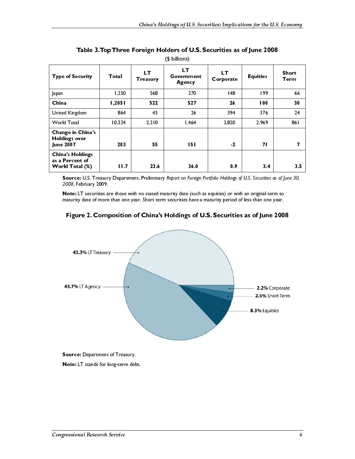| <b>Type of Security</b>                                       | Total  | LТ<br><b>Treasury</b> | LТ<br>Government<br>Agency | <b>LT</b><br>Corporate | <b>Equities</b> | Short<br>Term |
|---------------------------------------------------------------|--------|-----------------------|----------------------------|------------------------|-----------------|---------------|
| Japan                                                         | 1,250  | 568                   | 270                        | 48                     | 199             | 66            |
| China                                                         | 1,2051 | 522                   | 527                        | 26                     | 100             | 30            |
| United Kingdom                                                | 864    | 45                    | 26                         | 394                    | 376             | 24            |
| <b>World Total</b>                                            | 10,324 | 2,210                 | 1,464                      | 2,820                  | 2.969           | 861           |
| Change in China's<br><b>Holdings over</b><br><b>June 2007</b> | 283    | 55                    | 151                        | $-2$                   | 71              | 7             |
| <b>China's Holdings</b><br>as a Percent of<br>World Total (%) | 11.7   | 23.6                  | 36.0                       | 0.9                    | 3.4             | 3.5           |

Table 3. Top Three Foreign Holders of U.S. Securities as of June 2008 (\$ billions)



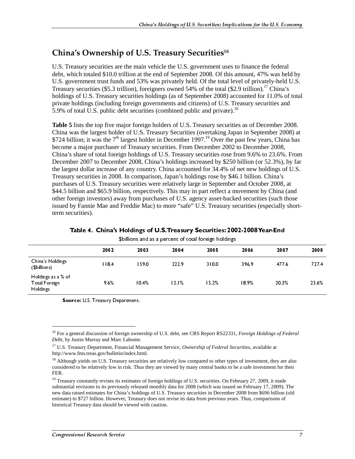#### China's Ownership of U.S. Treasury Securities $^{\rm 16}$

U.S. Treasury securities are the main vehicle the U.S. government uses to finance the federal debt, which totaled \$10.0 trillion at the end of September 2008. Of this amount, 47% was held by U.S. government trust funds and 53% was privately held. Of the total level of privately-held U.S. Treasury securities (\$5.3 trillion), foreigners owned 54% of the total (\$2.9 trillion).<sup>17</sup> China's holdings of U.S. Treasury securities holdings (as of September 2008) accounted for 11.0% of total private holdings (including foreign governments and citizens) of U.S. Treasury securities and 5.9% of total U.S. public debt securities (combined public and private).<sup>18</sup>

**Table 5** lists the top five major foreign holders of U.S. Treasury securities as of December 2008. China was the largest holder of U.S. Treasury Securities (overtaking Japan in September 2008) at \$724 billion; it was the  $7<sup>th</sup>$  largest holder in December 1997.<sup>19</sup> Over the past few years, China has become a major purchaser of Treasury securities. From December 2002 to December 2008, China's share of total foreign holdings of U.S. Treasury securities rose from 9.6% to 23.6%. From December 2007 to December 2008, China's holdings increased by \$250 billion (or 52.3%), by far the largest dollar increase of any country. China accounted for 34.4% of net new holdings of U.S. Treasury securities in 2008. In comparison, Japan's holdings rose by \$46.1 billion. China's purchases of U.S. Treasury securities were relatively large in September and October 2008, at \$44.5 billion and \$65.9 billion, respectively. This may in part reflect a movement by China (and other foreign investors) away from purchases of U.S. agency asset-backed securities (such those issued by Fannie Mae and Freddie Mac) to more "safe" U.S. Treasury securities (especially shortterm securities).

|  |                                                                                                                                                                                                                                | Table 4. China's Holdings of U.S. Treasury Securities: 2002-2008 Year-End |
|--|--------------------------------------------------------------------------------------------------------------------------------------------------------------------------------------------------------------------------------|---------------------------------------------------------------------------|
|  | . Other the second compared and contracted the continued believes to the formula of the continued of the continued of the continued of the continued of the continued of the continued of the continued of the continued of th |                                                                           |

|                                                                                                                                                                                                                                                                                                    | 2002                              | 2003  | 2004  | 0<br>2005 | 0<br>2006 | 2007      | 2008  |
|----------------------------------------------------------------------------------------------------------------------------------------------------------------------------------------------------------------------------------------------------------------------------------------------------|-----------------------------------|-------|-------|-----------|-----------|-----------|-------|
| China's Holdings<br>(\$billions)                                                                                                                                                                                                                                                                   | 1184                              | 159.0 | 222.9 | 310.0     | 396.9     | 477.6     | 7274  |
| Holdings as a % of                                                                                                                                                                                                                                                                                 |                                   |       |       |           |           |           |       |
| Total Foreign<br>Holdings                                                                                                                                                                                                                                                                          | 9.6%                              | 10.4% | 12.1% | 15.2%     | 18.9%     | 20.3%     | 23.6% |
|                                                                                                                                                                                                                                                                                                    | Source: U.S. Treasury Department. |       |       |           |           |           |       |
|                                                                                                                                                                                                                                                                                                    |                                   |       |       |           |           |           |       |
|                                                                                                                                                                                                                                                                                                    |                                   |       |       |           |           |           |       |
| <sup>16</sup> For a general discussion of foreign ownership of U.S. debt, see CRS Report RS22331, Foreign Holdings of Federal<br>Debt, by Justin Murray and Marc Labonte.                                                                                                                          |                                   |       |       |           |           |           |       |
| <sup>17</sup> U.S. Treasury Department, Financial Management Service, Ownership of Federal Securities, available at<br>http://www.fms.treas.gov/bulletin/index.html.                                                                                                                               |                                   |       |       |           |           |           |       |
| <sup>18</sup> Although yields on U.S. Treasury securities are relatively low compared to other types of investment, they are also                                                                                                                                                                  |                                   |       |       |           |           |           |       |
| considered to be relatively low in risk. Thus they are viewed by many central banks to be a safe investment for their<br>FER.                                                                                                                                                                      |                                   |       |       |           |           |           |       |
| <sup>19</sup> Treasury constantly revises its estimates of foreign holdings of U.S. securities. On February 27, 2009, it made<br>substantial revisions to its previously released monthly data for 2008 (which was issued on February 17, 2009). The                                               |                                   |       |       |           |           |           |       |
| new data raised estimates for China's holdings of U.S. Treasury securities in December 2008 from \$696 billion (old<br>estimate) to \$727 billion. However, Treasury does not revise its data from previous years. Thus, comparisons of<br>historical Treasury data should be viewed with caution. |                                   |       |       |           |           |           |       |
|                                                                                                                                                                                                                                                                                                    |                                   |       |       |           |           |           |       |
|                                                                                                                                                                                                                                                                                                    |                                   |       |       |           |           |           |       |
| Congressional Research Service                                                                                                                                                                                                                                                                     |                                   |       |       |           |           | $\bar{7}$ |       |
|                                                                                                                                                                                                                                                                                                    |                                   |       |       |           |           |           |       |
|                                                                                                                                                                                                                                                                                                    |                                   |       |       |           |           |           |       |
|                                                                                                                                                                                                                                                                                                    |                                   |       |       |           |           |           |       |
|                                                                                                                                                                                                                                                                                                    |                                   |       |       |           |           |           |       |
|                                                                                                                                                                                                                                                                                                    |                                   |       |       |           |           |           |       |
|                                                                                                                                                                                                                                                                                                    |                                   |       |       |           |           |           |       |
|                                                                                                                                                                                                                                                                                                    |                                   |       |       |           |           |           |       |
|                                                                                                                                                                                                                                                                                                    |                                   |       |       |           |           |           |       |
|                                                                                                                                                                                                                                                                                                    |                                   |       |       |           |           |           |       |
|                                                                                                                                                                                                                                                                                                    |                                   |       |       |           |           |           |       |
|                                                                                                                                                                                                                                                                                                    |                                   |       |       |           |           |           |       |
|                                                                                                                                                                                                                                                                                                    |                                   |       |       |           |           |           |       |
|                                                                                                                                                                                                                                                                                                    |                                   |       |       |           |           |           |       |
|                                                                                                                                                                                                                                                                                                    |                                   |       |       |           |           |           |       |
|                                                                                                                                                                                                                                                                                                    |                                   |       |       |           |           |           |       |
|                                                                                                                                                                                                                                                                                                    |                                   |       |       |           |           |           |       |
|                                                                                                                                                                                                                                                                                                    |                                   |       |       |           |           |           |       |
|                                                                                                                                                                                                                                                                                                    |                                   |       |       |           |           |           |       |
|                                                                                                                                                                                                                                                                                                    |                                   |       |       |           |           |           |       |
|                                                                                                                                                                                                                                                                                                    |                                   |       |       |           |           |           |       |
|                                                                                                                                                                                                                                                                                                    |                                   |       |       |           |           |           |       |
|                                                                                                                                                                                                                                                                                                    |                                   |       |       |           |           |           |       |
|                                                                                                                                                                                                                                                                                                    |                                   |       |       |           |           |           |       |
|                                                                                                                                                                                                                                                                                                    |                                   |       |       |           |           |           |       |
|                                                                                                                                                                                                                                                                                                    |                                   |       |       |           |           |           |       |
|                                                                                                                                                                                                                                                                                                    |                                   |       |       |           |           |           |       |
|                                                                                                                                                                                                                                                                                                    |                                   |       |       |           |           |           |       |
|                                                                                                                                                                                                                                                                                                    |                                   |       |       |           |           |           |       |
|                                                                                                                                                                                                                                                                                                    |                                   |       |       |           |           |           |       |
|                                                                                                                                                                                                                                                                                                    |                                   |       |       |           |           |           |       |
|                                                                                                                                                                                                                                                                                                    |                                   |       |       |           |           |           |       |
|                                                                                                                                                                                                                                                                                                    |                                   |       |       |           |           |           |       |
|                                                                                                                                                                                                                                                                                                    |                                   |       |       |           |           |           |       |
|                                                                                                                                                                                                                                                                                                    |                                   |       |       |           |           |           |       |
|                                                                                                                                                                                                                                                                                                    |                                   |       |       |           |           |           |       |
|                                                                                                                                                                                                                                                                                                    |                                   |       |       |           |           |           |       |
|                                                                                                                                                                                                                                                                                                    |                                   |       |       |           |           |           |       |
|                                                                                                                                                                                                                                                                                                    |                                   |       |       |           |           |           |       |
|                                                                                                                                                                                                                                                                                                    |                                   |       |       |           |           |           |       |
|                                                                                                                                                                                                                                                                                                    |                                   |       |       |           |           |           |       |
|                                                                                                                                                                                                                                                                                                    |                                   |       |       |           |           |           |       |
|                                                                                                                                                                                                                                                                                                    |                                   |       |       |           |           |           |       |
|                                                                                                                                                                                                                                                                                                    |                                   |       |       |           |           |           |       |
|                                                                                                                                                                                                                                                                                                    |                                   |       |       |           |           |           |       |
|                                                                                                                                                                                                                                                                                                    |                                   |       |       |           |           |           |       |
|                                                                                                                                                                                                                                                                                                    |                                   |       |       |           |           |           |       |
|                                                                                                                                                                                                                                                                                                    |                                   |       |       |           |           |           |       |
|                                                                                                                                                                                                                                                                                                    |                                   |       |       |           |           |           |       |
|                                                                                                                                                                                                                                                                                                    |                                   |       |       |           |           |           |       |
|                                                                                                                                                                                                                                                                                                    |                                   |       |       |           |           |           |       |
|                                                                                                                                                                                                                                                                                                    |                                   |       |       |           |           |           |       |
|                                                                                                                                                                                                                                                                                                    |                                   |       |       |           |           |           |       |
|                                                                                                                                                                                                                                                                                                    |                                   |       |       |           |           |           |       |
|                                                                                                                                                                                                                                                                                                    |                                   |       |       |           |           |           |       |
|                                                                                                                                                                                                                                                                                                    |                                   |       |       |           |           |           |       |
|                                                                                                                                                                                                                                                                                                    |                                   |       |       |           |           |           |       |
|                                                                                                                                                                                                                                                                                                    |                                   |       |       |           |           |           |       |
|                                                                                                                                                                                                                                                                                                    |                                   |       |       |           |           |           |       |
|                                                                                                                                                                                                                                                                                                    |                                   |       |       |           |           |           |       |
|                                                                                                                                                                                                                                                                                                    |                                   |       |       |           |           |           |       |
|                                                                                                                                                                                                                                                                                                    |                                   |       |       |           |           |           |       |
|                                                                                                                                                                                                                                                                                                    |                                   |       |       |           |           |           |       |
|                                                                                                                                                                                                                                                                                                    |                                   |       |       |           |           |           |       |
|                                                                                                                                                                                                                                                                                                    |                                   |       |       |           |           |           |       |
|                                                                                                                                                                                                                                                                                                    |                                   |       |       |           |           |           |       |
|                                                                                                                                                                                                                                                                                                    |                                   |       |       |           |           |           |       |
|                                                                                                                                                                                                                                                                                                    |                                   |       |       |           |           |           |       |
|                                                                                                                                                                                                                                                                                                    |                                   |       |       |           |           |           |       |
|                                                                                                                                                                                                                                                                                                    |                                   |       |       |           |           |           |       |
|                                                                                                                                                                                                                                                                                                    |                                   |       |       |           |           |           |       |
|                                                                                                                                                                                                                                                                                                    |                                   |       |       |           |           |           |       |
|                                                                                                                                                                                                                                                                                                    |                                   |       |       |           |           |           |       |
|                                                                                                                                                                                                                                                                                                    |                                   |       |       |           |           |           |       |
|                                                                                                                                                                                                                                                                                                    |                                   |       |       |           |           |           |       |
|                                                                                                                                                                                                                                                                                                    |                                   |       |       |           |           |           |       |
|                                                                                                                                                                                                                                                                                                    |                                   |       |       |           |           |           |       |
|                                                                                                                                                                                                                                                                                                    |                                   |       |       |           |           |           |       |
|                                                                                                                                                                                                                                                                                                    |                                   |       |       |           |           |           |       |
|                                                                                                                                                                                                                                                                                                    |                                   |       |       |           |           |           |       |
|                                                                                                                                                                                                                                                                                                    |                                   |       |       |           |           |           |       |
|                                                                                                                                                                                                                                                                                                    |                                   |       |       |           |           |           |       |
|                                                                                                                                                                                                                                                                                                    |                                   |       |       |           |           |           |       |
|                                                                                                                                                                                                                                                                                                    |                                   |       |       |           |           |           |       |
|                                                                                                                                                                                                                                                                                                    |                                   |       |       |           |           |           |       |

<sup>16</sup> For a general discussion of foreign ownership of U.S. debt, see CRS Report RS22331, *Foreign Holdings of Federal Debt*, by Justin Murray and Marc Labonte.

<sup>17</sup> U.S. Treasury Department, Financial Management Service, *Ownership of Federal Securities*, available at http://www.fms.treas.gov/bulletin/index.html.

<sup>&</sup>lt;sup>18</sup> Although yields on U.S. Treasury securities are relatively low compared to other types of investment, they are also considered to be relatively low in risk. Thus they are viewed by many central banks to be a safe investment for their FER.

Total Foreign<br>
Holdings<br>
Sou<br>
To For a g<br>
Debt, by<br>
<sup>17</sup> U.S. Ti<br>
<sup>17</sup> U.S. Ti<br>
<sup>18</sup> Http://ww<br>
<sup>18</sup> Althou<br>
considere<br>
FER.<br>
<sup>19</sup> Treasu<br>
substantianew data<br>
estimate)<br>
historical<br>
historical Holdings<br>
To Fe<br>
To Deb,<br>
To Deb,<br>
To Deb,<br>
To Deb,<br>
To The Subs<br>
To The Subs<br>
To The Subs<br>
New<br>
Extinguist<br>
To Con ury Department.<br>
on of foreign ownership of U.S. debt, see CRS Report RS22331, *Foreign Holdings of Federal*<br>
ment, Financial Management Service, *Ownership of Federal Securities*, available at<br>
robuletin/index.html.<br>
5. T The state of the matter, and the set of the state of the state of the set of the set of the set of the set of the S. Treasury Department, Financial Mi (/www.fms.treas.gov/bulletin/index.ht though yields on U.S. Treasury se  $19$  Treasury constantly revises its estimates of foreign holdings of U.S. securities. On February 27, 2009, it made substantial revisions to its previously released monthly data for 2008 (which was issued on February 17, 2009). The new data raised estimates for China's holdings of U.S. Treasury securities in December 2008 from \$696 billion (old estimate) to \$727 billion. However, Treasury does not revise its data from previous years. Thus, comparisons of historical Treasury data should be viewed with caution.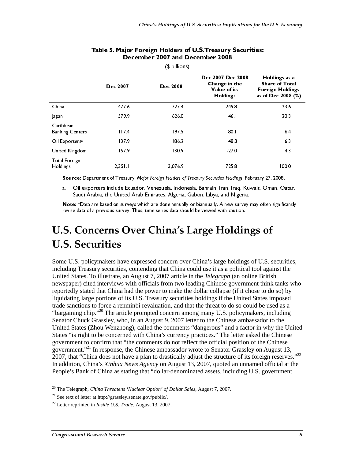|                                     | Dec 2007 | <b>Dec 2008</b> | Dec 2007-Dec 2008<br>Change in the<br>Value of its<br><b>Holdings</b> | Holdings as a<br><b>Share of Total</b><br><b>Foreign Holdings</b><br>as of Dec 2008 (%) |
|-------------------------------------|----------|-----------------|-----------------------------------------------------------------------|-----------------------------------------------------------------------------------------|
| China                               | 477.6    | 727.4           | 249.8                                                                 | 23.6                                                                                    |
| Japan                               | 579.9    | 626.0           | 46.1                                                                  | 20.3                                                                                    |
| Caribbean<br><b>Banking Centers</b> | 117.4    | 197.5           | 80.1                                                                  | 64                                                                                      |
| Oil Exporters <sup>a</sup>          | 137.9    | 186.2           | 48.3                                                                  | 6.3                                                                                     |
| United Kingdom                      | 157.9    | 130.9           | $-27.0$                                                               | 4.3                                                                                     |
| <b>Total Foreign</b><br>Holdings    | 2.351.1  | 3,076.9         | 725.8                                                                 | 100.0                                                                                   |

#### Table 5. Major Foreign Holders of U.S. Treasury Securities: December 2007 and December 2008

a. Oil exporters include Ecuador, Venezuela, Indonesia, Bahrain, Iran, Iraq, Kuwait, Oman, Qatar, Saudi Arabia, the United Arab Emirates, Algeria, Gabon, Libya, and Nigeria.

Note: \*Data are based on surveys which are done annually or biannually. A new survey may often significantly revise data of a previous survey. Thus, time series data should be viewed with caution.

### U.S. Concerns Over China's Large Holdings of U.S. Securities

Dec 2007 Dec 2008<br>
Dec 2008 Dec 2008 Dec 2008 Dec 2008<br>
Dapan<br>
Sayaha<br>
Sayaha<br>
Dapan<br>
Sayaha<br>
Dal Exporters<br>
Dal Exporters<br>
Dal Exporters<br>
Dal Exporters<br>
Dal Exporters<br>
Sayaha<br>
Sayaha<br>
Sayaha<br>
Sayaha<br>
Sayaha<br>
Sayaha<br>
Sayah Change in the<br>
Value of its<br>
Holdings<br>
249.8<br>
46.1<br>
80.1<br>
48.3<br>
27.0<br>
725.8<br>
72.5.8<br>
72.5.8<br>
72.5.8<br>
72.5.8<br>
72.5.8<br>
72.5.8<br>
72.5.8<br>
72.5.8<br>
72.5.8<br>
72.5.8<br>
72.5.8<br>
72.5.8<br>
72.5.8<br>
72.5.8<br>
72.5.8<br>
72.5.8<br>
72.5.8<br>
72.5.8<br>
7 Value of its<br>
Holdings<br>
249.8<br>
46.1<br>
80.1<br>
48.3<br>
27.0<br>
725.8<br>
ecurities Holdings,<br>
rain, Iran, Iraq,<br>
in, Iran, Iraq,<br>
ilya, and Niger<br>
wed with caution<br> **C** Holdings,<br>
is large holdin<br>
e it as a politie<br>
ilegraph (an c<br>
C Holdings<br>
249.8<br>
46.1<br>
80.1<br>
48.3<br>
48.3<br>
27.0<br>
725.8<br>
curities Holding<br>
217.0<br>
725.8<br>
curities Holding<br>
in, Iran, Iraq<br>
1974, and Nige<br>
1974, and Nige<br>
1974, and Nige<br>
1974, and Nige<br>
1974, and Nige<br>
1981 (and the caution 249.8<br>
249.8<br>
46.1<br>
80.1<br>
48.3<br>
48.3<br>
-27.0<br>
725.8<br>
rrities Holdin<br>
1, Iran, Iran, Iran, Iran, Iran, Iran, Iran, Iran, Iran, Iran, Iran, Iran, Iran, Iran, Iran, Iran, Iran, Iran, Iran, Iran, Iran, Iran, Iran, Iran, Iran, I Share of Total<br>
Dreign Holding<br>
of Dec 2008 (1<br>
23.6<br>
20.3<br>
20.3<br>
6.4<br>
6.3<br>
4.3<br>
100.0<br>
727, 2008.<br>
Oman, Qatar,<br>
727, 2008.<br>
Oman, Qatar,<br>
ften significantly<br> **Of**<br>
5. S. securities,<br>
against the<br>
ritish<br>
ink tanks when U oreign Holding<br>
of Dec 2008 (\*<br>
23.6<br>
20.3<br>
20.3<br>
20.3<br>
20.3<br>
20.3<br>
20.3<br>
20.3<br>
20.3<br>
20.3<br>
20.3<br>
20.3<br>
20.3<br>
20.3<br>
20.3<br>
20.3<br>
4.3<br>
4.3<br>
100.0<br>
y 27, 2008.<br>
Oman, Qatar,<br>
often significantly<br>
Of<br>
J.S. securities,<br>
against Solven Contract Contract Contract Contract Contract Contract Contract Contract Contract Contract Contract Contract Contract Contract Contract Contract Contract Contract Contract Contract Contract Contract Contract Contract as a matrix of the control and the control and the control and the control and the control and the control and the control and the chinese the Chinese the Chinese the Chinese the Chinese the Chinese the Chinese the Chinese China 477.6 727.4 249.8 23.6 Conduction<br>
United Kigation (1973) 826.1 20.4 64.1 20.4 64.1 20.4 64.1 20.4 64.1 20.4 64.1 20.4 64.1 20.4 64.1 20.4 64.1 20.4 64.1 20.4 64.1 20.4 64.1 20.4 64.1 20.4 64.1 20.4 64.1 20.4 64.1 20.4 64.1 20.4 64.1 20.4 64.1 Banking Ce<br>Banking Ce<br>Oil Export<br>United Kin<br>Total Forei<br>United Kin<br>Total Forei<br>Holdings<br>Sourra.<br>A. Custome Customer Content<br>Including United States "is governme"<br>Some U..<br>Some U..<br>Including mewspape<br>reportedl<br>Iquidatir tra Of Exerce is 197.4 197.4 197.4 198.<br>
United Kingdom 115.79 198.<br>
197.9 198.<br>
197.9 198.<br>
197.4 198.<br>
197.4 198.1 197.4 198.<br>
197.9 198.1 197.4 198.<br>
197.6 198.<br>
197.6 198.<br>
Sauta Architect Colume benders for the Entudor: Uniced Kriggs 2001<br>
Uniced Kriggs 23511<br>
Uniced Kriggs 23511<br>
Source Department of Treasury, Magne fracyly Hoteles of Treasury Securitie Hotelings, February 27, 2008.<br>
Source Department of Treasury, Magne fracyly Hoteles Total foregro<br>
1761 1678.<br>
Holdes<br>
1870. 1981.<br>
1870. 1981.<br>
1870. 1981. 1982.<br>
1870. 1992. The Courtest Department of Tremary, Magio formge Hotster of Tremary Securities Hotsings, February 77, 2008<br>
18. Oli exporters incl Holdings<br>
Source:<br>
a. Oil Sauce<br>
a. Oil Sauce<br>
Note: \*[<br>
revise date<br>
revise date<br> **U.S. C**<br>
Some U.S. J<br>
including T<br>
United State<br>
rewspaper)<br>
reportedly s<br>
liquidating i<br>
trade sanctic<br>
"bargaining<br>
strade sanctic<br>
"bar **Source:** Department of Tressary, Majar for the Sampy Securities Holdings, February 27, 2008.<br>
2. Oil experters include Ecuador, Venezuele, Indonesia, Bahrain. Iran, Iran, Iran, IC, Waster, Oman, Qatan<br>
2. Suid-Mealis. Ho source: Department of Treasury of the United States (Apple) and the content of the Collective of Treasury securities Algeria. Saloon, Usiva, and Nigeria.<br>
Source: Data are based on survey which Emirates, Algeria, Gabon, Us Some U.S. policymakers have expressed concern over China's large holdings of U.S. securities, including Treasury securities, contending that China could use it as a political tool against the United States. To illustrate, an August 7, 2007 article in the *Telegraph* (an online British newspaper) cited interviews with officials from two leading Chinese government think tanks who reportedly stated that China had the power to make the dollar collapse (if it chose to do so) by liquidating large portions of its U.S. Treasury securities holdings if the United States imposed trade sanctions to force a renminbi revaluation, and that the threat to do so could be used as a "bargaining chip."<sup>20</sup> The article prompted concern among many U.S. policymakers, including Senator Chuck Grassley, who, in an August 9, 2007 letter to the Chinese ambassador to the United States (Zhou Wenzhong), called the comments "dangerous" and a factor in why the United States "is right to be concerned with China's currency practices." The letter asked the Chinese government to confirm that "the comments do not reflect the official position of the Chinese government."<sup>21</sup> In response, the Chinese ambassador wrote to Senator Grassley on August 13, 2007, that "China does not have a plan to drastically adjust the structure of its foreign reserves."<sup>22</sup> In addition, China's *Xinhua News Agency* on August 13, 2007, quoted an unnamed official at the People's Bank of China as stating that "dollar-denominated assets, including U.S. government

<sup>20</sup> The Telegraph, *China Threatens 'Nuclear Option' of Dollar Sales*, August 7, 2007.

<sup>&</sup>lt;sup>21</sup> See text of letter at http://grassley.senate.gov/public/.

<sup>22</sup> Letter reprinted in *Inside U.S. Trade*, August 13, 2007.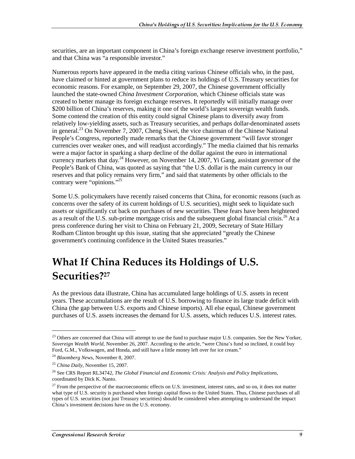securities, are an important component in China's foreign exchange reserve investment portfolio," and that China was "a responsible investor."

Numerous reports have appeared in the media citing various Chinese officials who, in the past, have claimed or hinted at government plans to reduce its holdings of U.S. Treasury securities for economic reasons. For example, on September 29, 2007, the Chinese government officially launched the state-owned *China Investment Corporation,* which Chinese officials state was created to better manage its foreign exchange reserves. It reportedly will initially manage over \$200 billion of China's reserves, making it one of the world's largest sovereign wealth funds. Some contend the creation of this entity could signal Chinese plans to diversify away from relatively low-yielding assets, such as Treasury securities, and perhaps dollar-denominated assets in general.<sup>23</sup> On November 7, 2007, Cheng Siwei, the vice chairman of the Chinese National People's Congress, reportedly made remarks that the Chinese government "will favor stronger currencies over weaker ones, and will readjust accordingly." The media claimed that his remarks were a major factor in sparking a sharp decline of the dollar against the euro in international currency markets that day.<sup>24</sup> However, on November 14, 2007, Yi Gang, assistant governor of the People's Bank of China, was quoted as saying that "the U.S. dollar is the main currency in our reserves and that policy remains very firm," and said that statements by other officials to the contrary were "opinions."25

Some U.S. policymakers have recently raised concerns that China, for economic reasons (such as concerns over the safety of its current holdings of U.S. securities), might seek to liquidate such assets or significantly cut back on purchases of new securities. These fears have been heightened as a result of the U.S. sub-prime mortgage crisis and the subsequent global financial crisis.<sup>26</sup> At a press conference during her visit to China on February 21, 2009, Secretary of State Hillary Rodham Clinton brought up this issue, stating that she appreciated "greatly the Chinese government's continuing confidence in the United States treasuries."

## What If China Reduces its Holdings of U.S.  $\,$ Securities?<sup>27</sup>

As the previous data illustrate, China has accumulated large holdings of U.S. assets in recent years. These accumulations are the result of U.S. borrowing to finance its large trade deficit with China (the gap between U.S. exports and Chinese imports). All else equal, Chinese government purchases of U.S. assets increases the demand for U.S. assets, which reduces U.S. interest rates.

 $\overline{a}$ 

 $23$  Others are concerned that China will attempt to use the fund to purchase major U.S. companies. See the New Yorker, *Sovereign Wealth World*, November 26, 2007. According to the article, "were China's fund so inclined, it could buy Ford, G.M., Volkswagen, and Honda, and still have a little money left over for ice cream."

<sup>24</sup> *Bloomberg News*, November 8, 2007.

<sup>25</sup> *China Daily*, November 15, 2007.

<sup>26</sup> See CRS Report RL34742, *The Global Financial and Economic Crisis: Analysis and Policy Implications*, coordinated by Dick K. Nanto.

 $27$  From the perspective of the macroeconomic effects on U.S. investment, interest rates, and so on, it does not matter what type of U.S. security is purchased when foreign capital flows to the United States. Thus, Chinese purchases of all types of U.S. securities (not just Treasury securities) should be considered when attempting to understand the impact China's investment decisions have on the U.S. economy.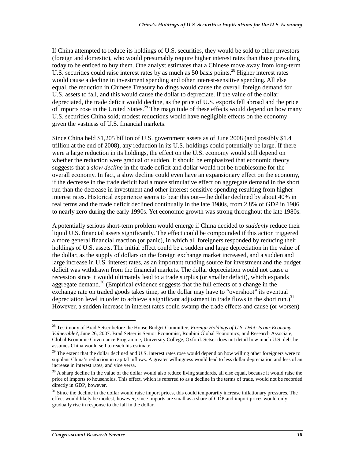If China attempted to reduce its holdings of U.S. securities, they would be sold to other investors (foreign and domestic), who would presumably require higher interest rates than those prevailing today to be enticed to buy them. One analyst estimates that a Chinese move away from long-term U.S. securities could raise interest rates by as much as 50 basis points.<sup>28</sup> Higher interest rates would cause a decline in investment spending and other interest-sensitive spending. All else equal, the reduction in Chinese Treasury holdings would cause the overall foreign demand for U.S. assets to fall, and this would cause the dollar to depreciate. If the value of the dollar depreciated, the trade deficit would decline, as the price of U.S. exports fell abroad and the price of imports rose in the United States.<sup>29</sup> The magnitude of these effects would depend on how many U.S. securities China sold; modest reductions would have negligible effects on the economy given the vastness of U.S. financial markets.

Since China held \$1,205 billion of U.S. government assets as of June 2008 (and possibly \$1.4 trillion at the end of 2008), any reduction in its U.S. holdings could potentially be large. If there were a large reduction in its holdings, the effect on the U.S. economy would still depend on whether the reduction were gradual or sudden. It should be emphasized that economic theory suggests that a *slow decline* in the trade deficit and dollar would not be troublesome for the overall economy. In fact, a slow decline could even have an expansionary effect on the economy, if the decrease in the trade deficit had a more stimulative effect on aggregate demand in the short run than the decrease in investment and other interest-sensitive spending resulting from higher interest rates. Historical experience seems to bear this out—the dollar declined by about 40% in real terms and the trade deficit declined continually in the late 1980s, from 2.8% of GDP in 1986 to nearly zero during the early 1990s. Yet economic growth was strong throughout the late 1980s.

A potentially serious short-term problem would emerge if China decided to *suddenly* reduce their liquid U.S. financial assets significantly. The effect could be compounded if this action triggered a more general financial reaction (or panic), in which all foreigners responded by reducing their holdings of U.S. assets. The initial effect could be a sudden and large depreciation in the value of the dollar, as the supply of dollars on the foreign exchange market increased, and a sudden and large increase in U.S. interest rates, as an important funding source for investment and the budget deficit was withdrawn from the financial markets. The dollar depreciation would not cause a recession since it would ultimately lead to a trade surplus (or smaller deficit), which expands aggregate demand. $30$  (Empirical evidence suggests that the full effects of a change in the exchange rate on traded goods takes time, so the dollar may have to "overshoot" its eventual depreciation level in order to achieve a significant adjustment in trade flows in the short run.)<sup>31</sup> However, a sudden increase in interest rates could swamp the trade effects and cause (or worsen)

<sup>28</sup> Testimony of Brad Setser before the House Budget Committee, *Foreign Holdings of U.S. Debt: Is our Economy Vulnerable?*, June 26, 2007. Brad Setser is Senior Economist, Roubini Global Economics, and Research Associate, Global Economic Governance Programme, University College, Oxford. Setser does not detail how much U.S. debt he assumes China would sell to reach his estimate.

 $29$  The extent that the dollar declined and U.S. interest rates rose would depend on how willing other foreigners were to supplant China's reduction in capital inflows. A greater willingness would lead to less dollar depreciation and less of an increase in interest rates, and vice versa.

 $30$  A sharp decline in the value of the dollar would also reduce living standards, all else equal, because it would raise the price of imports to households. This effect, which is referred to as a decline in the terms of trade, would not be recorded directly in GDP, however.

<sup>&</sup>lt;sup>31</sup> Since the decline in the dollar would raise import prices, this could temporarily increase inflationary pressures. The effect would likely be modest, however, since imports are small as a share of GDP and import prices would only gradually rise in response to the fall in the dollar.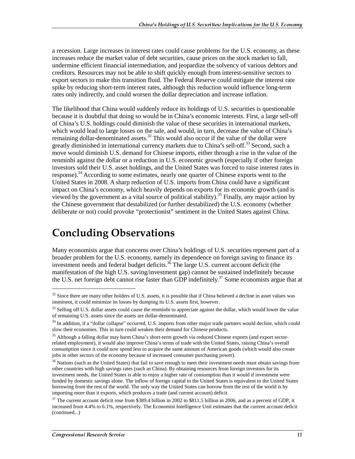a recession. Large increases in interest rates could cause problems for the U.S. economy, as these increases reduce the market value of debt securities, cause prices on the stock market to fall, undermine efficient financial intermediation, and jeopardize the solvency of various debtors and creditors. Resources may not be able to shift quickly enough from interest-sensitive sectors to export sectors to make this transition fluid. The Federal Reserve could mitigate the interest rate spike by reducing short-term interest rates, although this reduction would influence long-term rates only indirectly, and could worsen the dollar depreciation and increase inflation.

The likelihood that China would suddenly reduce its holdings of U.S. securities is questionable because it is doubtful that doing so would be in China's economic interests. First, a large sell-off of China's U.S. holdings could diminish the value of these securities in international markets, which would lead to large losses on the sale, and would, in turn, decrease the value of China's remaining dollar-denominated assets.<sup>32</sup> This would also occur if the value of the dollar were greatly diminished in international currency markets due to China's sell-off.<sup>33</sup> Second, such a move would diminish U.S. demand for Chinese imports, either through a rise in the value of the renminbi against the dollar or a reduction in U.S. economic growth (especially if other foreign investors sold their U.S. asset holdings, and the United States was forced to raise interest rates in response).<sup>34</sup> According to some estimates, nearly one quarter of Chinese exports went to the United States in 2008. A sharp reduction of U.S. imports from China could have a significant impact on China's economy, which heavily depends on exports for its economic growth (and is viewed by the government as a vital source of political stability).<sup>35</sup> Finally, any major action by the Chinese government that destabilized (or further destabilized) the U.S. economy (whether deliberate or not) could provoke "protectionist" sentiment in the United States against China.

### **Concluding Observations**

Many economists argue that concerns over China's holdings of U.S. securities represent part of a broader problem for the U.S. economy, namely its dependence on foreign saving to finance its investment needs and federal budget deficits. $36$  The large U.S. current account deficit (the manifestation of the high U.S. saving/investment gap) cannot be sustained indefinitely because the U.S. net foreign debt cannot rise faster than GDP indefinitely.<sup>37</sup> Some economists argue that at

<sup>&</sup>lt;sup>32</sup> Since there are many other holders of U.S. assets, it is possible that if China believed a decline in asset values was imminent, it could minimize its losses by dumping its U.S. assets first, however.

 $33$  Selling off U.S. dollar assets could cause the renminbi to appreciate against the dollar, which would lower the value of remaining U.S. assets since the assets are dollar-denominated.

<sup>&</sup>lt;sup>34</sup> In addition, if a "dollar collapse" occurred, U.S. imports from other major trade partners would decline, which could slow their economies. This in turn could weaken their demand for Chinese products.

<sup>&</sup>lt;sup>35</sup> Although a falling dollar may harm China's short-term growth via reduced Chinese exports (and export sectorrelated employment), it would also improve China's terms of trade with the United States, raising China's overall consumption since it could now spend less to acquire the same amount of American goods (which would also create jobs in other sectors of the economy because of increased consumer purchasing power).

<sup>&</sup>lt;sup>36</sup> Nations (such as the United States) that fail to save enough to meet their investment needs must obtain savings from other countries with high savings rates (such as China). By obtaining resources from foreign investors for its investment needs, the United States is able to enjoy a higher rate of consumption than it would if investment were funded by domestic savings alone. The inflow of foreign capital to the United States is equivalent to the United States borrowing from the rest of the world. The only way the United States can borrow from the rest of the world is by importing more than it exports, which produces a trade (and current account) deficit.

 $37$  The current account deficit rose from \$389.4 billion in 2002 to \$811.5 billion in 2006, and as a percent of GDP, it increased from 4.4% to 6.1%, respectively. The Economist Intelligence Unit estimates that the current account deficit (continued...)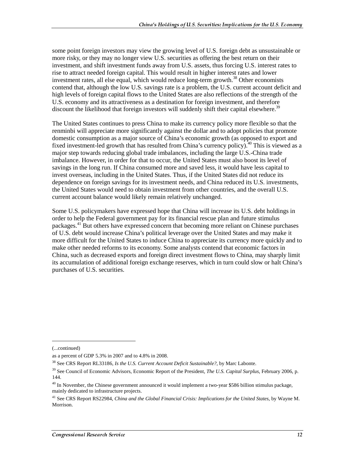some point foreign investors may view the growing level of U.S. foreign debt as unsustainable or more risky, or they may no longer view U.S. securities as offering the best return on their investment, and shift investment funds away from U.S. assets, thus forcing U.S. interest rates to rise to attract needed foreign capital. This would result in higher interest rates and lower investment rates, all else equal, which would reduce long-term growth.<sup>38</sup> Other economists contend that, although the low U.S. savings rate is a problem, the U.S. current account deficit and high levels of foreign capital flows to the United States are also reflections of the strength of the U.S. economy and its attractiveness as a destination for foreign investment, and therefore discount the likelihood that foreign investors will suddenly shift their capital elsewhere.<sup>39</sup>

The United States continues to press China to make its currency policy more flexible so that the renminbi will appreciate more significantly against the dollar and to adopt policies that promote domestic consumption as a major source of China's economic growth (as opposed to export and fixed investment-led growth that has resulted from China's currency policy).<sup>40</sup> This is viewed as a major step towards reducing global trade imbalances, including the large U.S.-China trade imbalance. However, in order for that to occur, the United States must also boost its level of savings in the long run. If China consumed more and saved less, it would have less capital to invest overseas, including in the United States. Thus, if the United States did not reduce its dependence on foreign savings for its investment needs, and China reduced its U.S. investments, the United States would need to obtain investment from other countries, and the overall U.S. current account balance would likely remain relatively unchanged.

Some U.S. policymakers have expressed hope that China will increase its U.S. debt holdings in order to help the Federal government pay for its financial rescue plan and future stimulus packages.<sup>41</sup> But others have expressed concern that becoming more reliant on Chinese purchases of U.S. debt would increase China's political leverage over the United States and may make it more difficult for the United States to induce China to appreciate its currency more quickly and to make other needed reforms to its economy. Some analysts contend that economic factors in China, such as decreased exports and foreign direct investment flows to China, may sharply limit its accumulation of additional foreign exchange reserves, which in turn could slow or halt China's purchases of U.S. securities.

 $\overline{a}$ 

<sup>(...</sup>continued)

as a percent of GDP 5.3% in 2007 and to 4.8% in 2008.

<sup>38</sup> See CRS Report RL33186, *Is the U.S. Current Account Deficit Sustainable?*, by Marc Labonte.

<sup>39</sup> See Council of Economic Advisors, Economic Report of the President, *The U.S. Capital Surplus*, February 2006, p. 144.

<sup>&</sup>lt;sup>40</sup> In November, the Chinese government announced it would implement a two-year \$586 billion stimulus package, mainly dedicated to infrastructure projects.

<sup>41</sup> See CRS Report RS22984, *China and the Global Financial Crisis: Implications for the United States*, by Wayne M. Morrison.